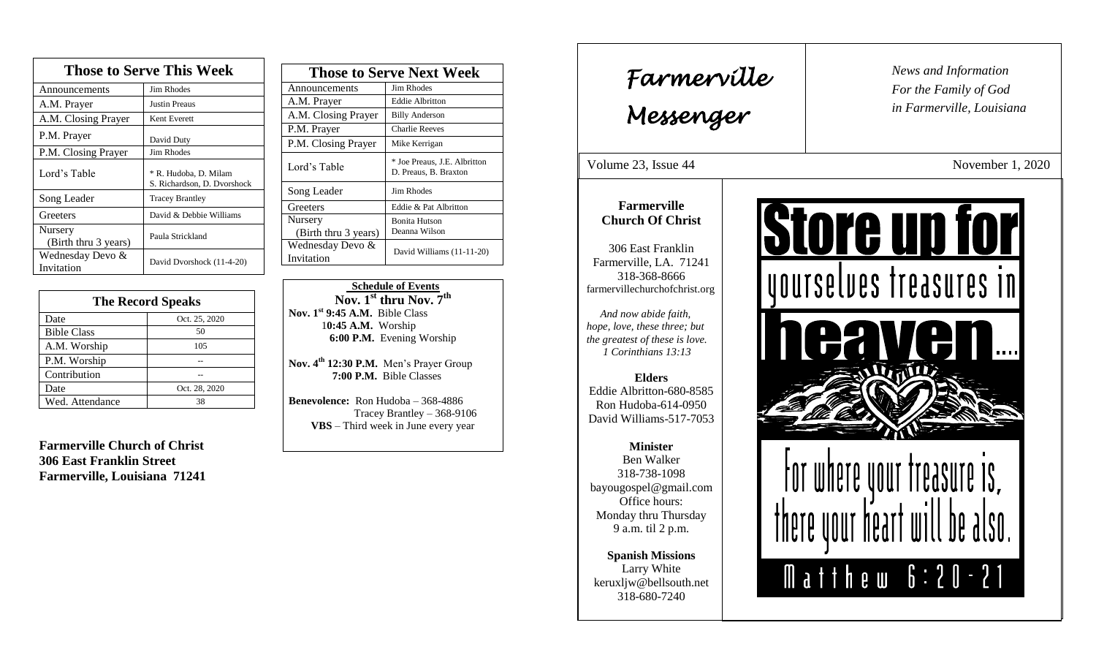| <b>Those to Serve This Week</b> |                                                      |  |
|---------------------------------|------------------------------------------------------|--|
| Announcements                   | <b>Jim Rhodes</b>                                    |  |
| A.M. Prayer                     | <b>Justin Preaus</b>                                 |  |
| A.M. Closing Prayer             | Kent Everett                                         |  |
| P.M. Prayer                     | David Duty                                           |  |
| P.M. Closing Prayer             | Jim Rhodes                                           |  |
| Lord's Table                    | * R. Hudoba, D. Milam<br>S. Richardson, D. Dvorshock |  |
| Song Leader                     | <b>Tracey Brantley</b>                               |  |
| Greeters                        | David & Debbie Williams                              |  |
| Nursery<br>(Birth thru 3 years) | Paula Strickland                                     |  |
| Wednesday Devo &<br>Invitation  | David Dvorshock (11-4-20)                            |  |

| <b>The Record Speaks</b> |               |
|--------------------------|---------------|
| Date                     | Oct. 25, 2020 |
| <b>Bible Class</b>       | 50            |
| A.M. Worship             | 105           |
| P.M. Worship             |               |
| Contribution             |               |
| Date                     | Oct. 28, 2020 |
| Wed. Attendance          | 38            |

**Farmerville Church of Christ 306 East Franklin Street Farmerville, Louisiana 71241**

| <b>Those to Serve Next Week</b> |                                                       |
|---------------------------------|-------------------------------------------------------|
| Announcements                   | Jim Rhodes                                            |
| A.M. Prayer                     | <b>Eddie Albritton</b>                                |
| A.M. Closing Prayer             | <b>Billy Anderson</b>                                 |
| P.M. Prayer                     | <b>Charlie Reeves</b>                                 |
| P.M. Closing Prayer             | Mike Kerrigan                                         |
| Lord's Table                    | * Joe Preaus, J.E. Albritton<br>D. Preaus, B. Braxton |
| Song Leader                     | Jim Rhodes                                            |
| Greeters                        | Eddie & Pat Albritton                                 |
| Nursery                         | <b>Bonita Hutson</b>                                  |
| (Birth thru 3 years)            | Deanna Wilson                                         |
| Wednesday Devo &                | David Williams (11-11-20)                             |
| Invitation                      |                                                       |

### **Schedule of Events Nov. 1st thru Nov. 7th Nov. 1st 9:45 A.M.** Bible Class 1**0:45 A.M.** Worship  **6:00 P.M.** Evening Worship

**Nov. 4th 12:30 P.M.** Men's Prayer Group **7:00 P.M.** Bible Classes

**Benevolence:** Ron Hudoba – 368-4886 Tracey Brantley – 368-9106 **VBS** – Third week in June every year

*News and Information* **Farmerville**  $\begin{bmatrix} \text{News an} \\ \text{For the} \end{bmatrix}$ *For the Family of God in Farmerville, Louisiana Messenger*  Volume 23, Issue 44 November 1, 2020 , 2015 **Farmerville Store up for Church Of Christ** 306 East Franklin Farmerville, LA. 71241 yourselves freasures in 318-368-8666 farmervillechurchofchrist.org *And now abide faith, hope, love, these three; but the greatest of these is love. 1 Corinthians 13:13* **Elders** Eddie Albritton-680-8585 Ron Hudoba-614-0950 David Williams-517-7053 **Minister** Ben Walker 318-738-1098 MIRIA bayougospel@gmail.com Office hours: Monday thru Thursday 9 a.m. til 2 p.m. **Spanish Missions** Matthew 6:20-21 Larry White keruxljw@bellsouth.net 318-680-7240